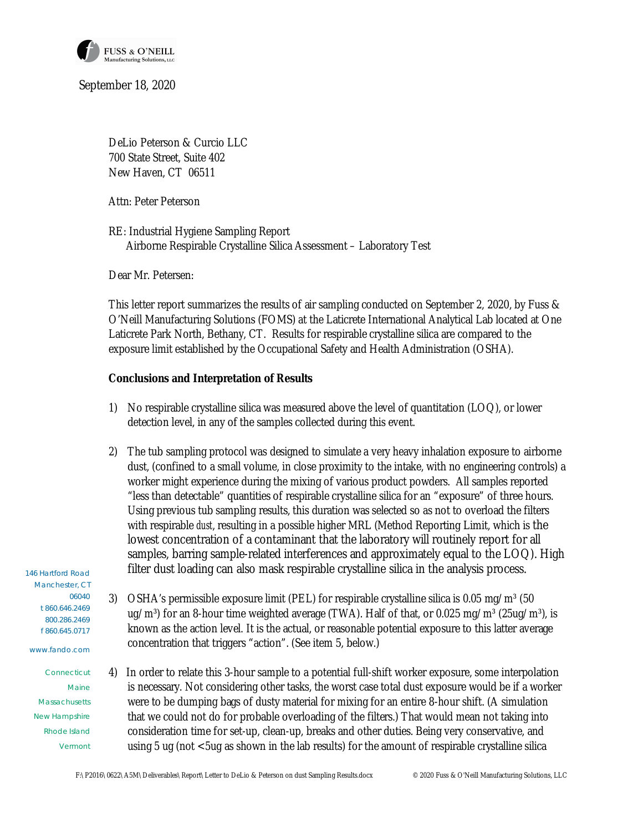

September 18, 2020

DeLio Peterson & Curcio LLC 700 State Street, Suite 402 New Haven, CT 06511

Attn: Peter Peterson

RE: Industrial Hygiene Sampling Report Airborne Respirable Crystalline Silica Assessment – Laboratory Test

Dear Mr. Petersen:

This letter report summarizes the results of air sampling conducted on September 2, 2020, by Fuss & O'Neill Manufacturing Solutions (FOMS) at the Laticrete International Analytical Lab located at One Laticrete Park North, Bethany, CT. Results for respirable crystalline silica are compared to the exposure limit established by the Occupational Safety and Health Administration (OSHA).

**Conclusions and Interpretation of Results**

- 1) No respirable crystalline silica was measured above the level of quantitation (LOQ), or lower detection level, in any of the samples collected during this event.
- 2) The tub sampling protocol was designed to simulate a very heavy inhalation exposure to airborne dust, (confined to a small volume, in close proximity to the intake, with no engineering controls) a worker might experience during the mixing of various product powders. All samples reported "less than detectable" quantities of respirable crystalline silica for an "exposure" of three hours. Using previous tub sampling results, this duration was selected so as not to overload the filters with respirable *dust*, resulting in a possible higher MRL (Method Reporting Limit, which is the lowest concentration of a contaminant that the laboratory will routinely report for all samples, barring sample-related interferences and approximately equal to the LOQ). High filter dust loading can also mask respirable crystalline silica in the analysis process.

146 Hartford Road Manchester, CT 06040 t 860.646.2469 800.286.2469 f 860.645.0717

www.fando.com

**Connecticut** Maine Massachusetts New Hampshire Rhode Island Vermont

- 3) OSHA's permissible exposure limit (PEL) for respirable crystalline silica is 0.05 mg/m<sup>3</sup> (50 ug/m<sup>3</sup>) for an 8-hour time weighted average (TWA). Half of that, or 0.025 mg/m<sup>3</sup> (25ug/m<sup>3</sup>), is known as the action level. It is the actual, or reasonable potential exposure to this latter average concentration that triggers "action". (See item 5, below.)
- 4) In order to relate this 3-hour sample to a potential full-shift worker exposure, some interpolation is necessary. Not considering other tasks, the worst case total dust exposure would be if a worker were to be dumping bags of dusty material for mixing for an entire 8-hour shift. (A simulation that we could not do for probable overloading of the filters.) That would mean not taking into consideration time for set-up, clean-up, breaks and other duties. Being very conservative, and using 5 ug (not <5ug as shown in the lab results) for the amount of respirable crystalline silica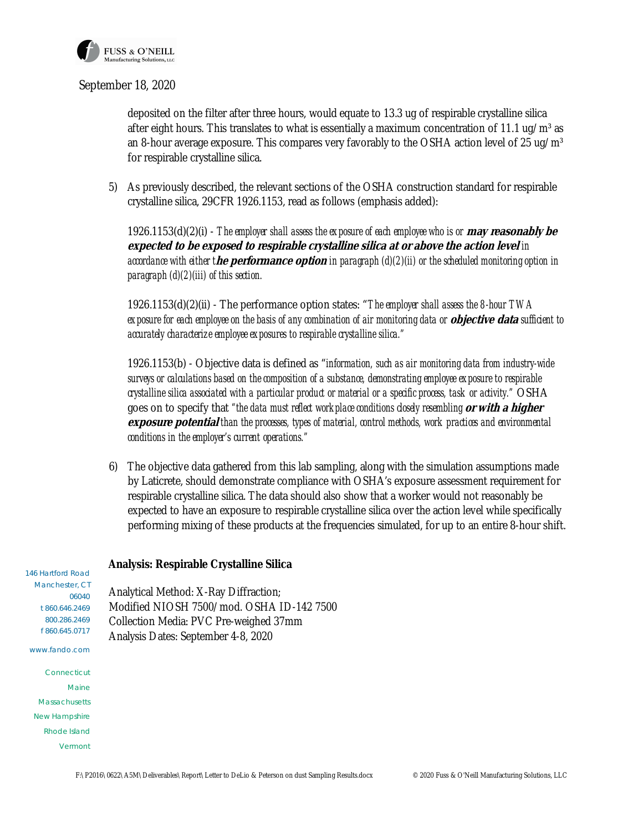

## September 18, 2020

deposited on the filter after three hours, would equate to 13.3 ug of respirable crystalline silica after eight hours. This translates to what is essentially a maximum concentration of 11.1 ug/m<sup>3</sup> as an 8-hour average exposure. This compares very favorably to the OSHA action level of 25 ug/m<sup>3</sup> for respirable crystalline silica.

5) As previously described, the relevant sections of the OSHA construction standard for respirable crystalline silica, 29CFR 1926.1153, read as follows (emphasis added):

 1926.1153(d)(2)(i) - *The employer shall assess the exposure of each employee who is or* **may reasonably be expected to be exposed to respirable crystalline silica at or above the action level** *in accordance with either t***he performance option** *in paragraph (d)(2)(ii) or the scheduled monitoring option in paragraph (d)(2)(iii) of this section.*

 1926.1153(d)(2)(ii) - The performance option states: "*The employer shall assess the 8-hour TWA exposure for each employee on the basis of any combination of air monitoring data or* **objective data** *sufficient to accurately characterize employee exposures to respirable crystalline silica."*

 1926.1153(b) - Objective data is defined as "*information, such as air monitoring data from industry-wide surveys or calculations based on the composition of a substance, demonstrating employee exposure to respirable crystalline silica associated with a particular product or material or a specific process, task or activity."* OSHA goes on to specify that *"the data must reflect workplace conditions closely resembling* **or with a higher exposure potential** *than the processes, types of material, control methods, work practices and environmental conditions in the employer's current operations."*

6) The objective data gathered from this lab sampling, along with the simulation assumptions made by Laticrete, should demonstrate compliance with OSHA's exposure assessment requirement for respirable crystalline silica. The data should also show that a worker would not reasonably be expected to have an exposure to respirable crystalline silica over the action level while specifically performing mixing of these products at the frequencies simulated, for up to an entire 8-hour shift.

146 Hartford Road Manchester, CT 06040 t 860.646.2469 800.286.2469 f 860.645.0717 www.fando.com **Connecticut** Maine Massachusetts New Hampshire Rhode Island Vermont **Analysis: Respirable Crystalline Silica** Analytical Method: X-Ray Diffraction; Modified NIOSH 7500/mod. OSHA ID-142 7500 Collection Media: PVC Pre-weighed 37mm Analysis Dates: September 4-8, 2020